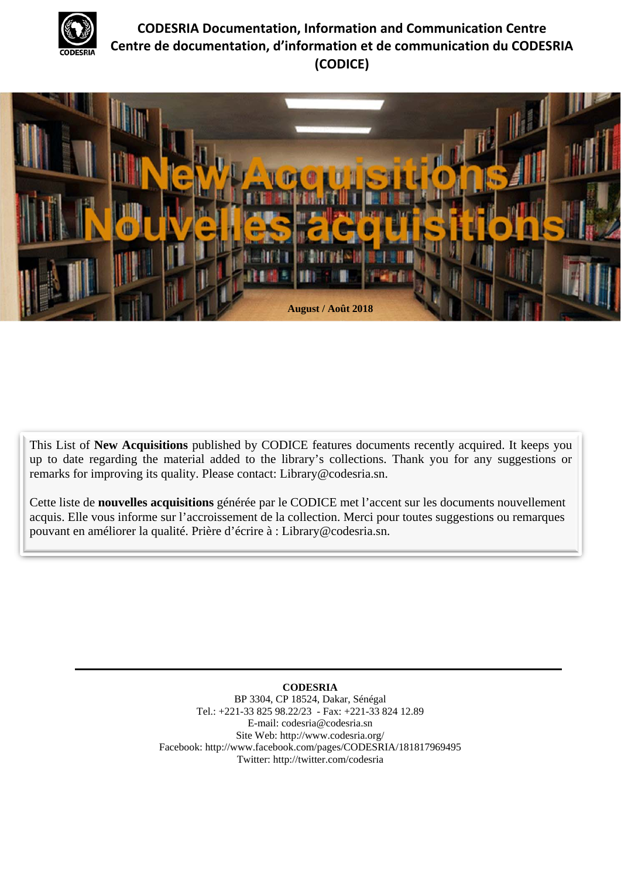

# **CODESRIA Documentation, Information and Communication Centre Centre de documentation, d'information et de communication du CODESRIA (CODICE)**



This List of **New Acquisitions** published by CODICE features documents recently acquired. It keeps you up to date regarding the material added to the library's collections. Thank you for any suggestions or remarks for improving its quality. Please contact: Library@codesria.sn.

Cette liste de **nouvelles acquisitions** générée par le CODICE met l'accent sur les documents nouvellement acquis. Elle vous informe sur l'accroissement de la collection. Merci pour toutes suggestions ou remarques pouvant en améliorer la qualité. Prière d'écrire à : Library@codesria.sn.

> **CODESRIA**  BP 3304, CP 18524, Dakar, Sénégal Tel.: +221-33 825 98.22/23 - Fax: +221-33 824 12.89 E-mail: codesria@codesria.sn Site Web: http://www.codesria.org/ Facebook: http://www.facebook.com/pages/CODESRIA/181817969495 Twitter: http://twitter.com/codesria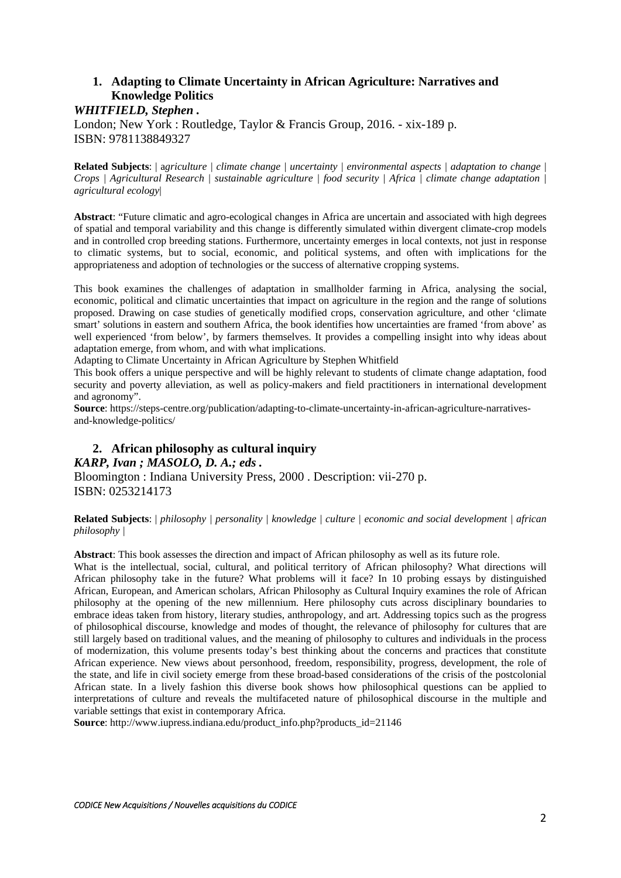# **1. Adapting to Climate Uncertainty in African Agriculture: Narratives and Knowledge Politics**

*WHITFIELD, Stephen .* 

London; New York : Routledge, Taylor & Francis Group, 2016. - xix-189 p. ISBN: 9781138849327

**Related Subjects**: | a*griculture | climate change | uncertainty | environmental aspects | adaptation to change | Crops | Agricultural Research | sustainable agriculture | food security | Africa | climate change adaptation | agricultural ecology*|

**Abstract**: "Future climatic and agro-ecological changes in Africa are uncertain and associated with high degrees of spatial and temporal variability and this change is differently simulated within divergent climate-crop models and in controlled crop breeding stations. Furthermore, uncertainty emerges in local contexts, not just in response to climatic systems, but to social, economic, and political systems, and often with implications for the appropriateness and adoption of technologies or the success of alternative cropping systems.

This book examines the challenges of adaptation in smallholder farming in Africa, analysing the social, economic, political and climatic uncertainties that impact on agriculture in the region and the range of solutions proposed. Drawing on case studies of genetically modified crops, conservation agriculture, and other 'climate smart' solutions in eastern and southern Africa, the book identifies how uncertainties are framed 'from above' as well experienced 'from below', by farmers themselves. It provides a compelling insight into why ideas about adaptation emerge, from whom, and with what implications.

Adapting to Climate Uncertainty in African Agriculture by Stephen Whitfield

This book offers a unique perspective and will be highly relevant to students of climate change adaptation, food security and poverty alleviation, as well as policy-makers and field practitioners in international development and agronomy".

**Source**: https://steps-centre.org/publication/adapting-to-climate-uncertainty-in-african-agriculture-narrativesand-knowledge-politics/

## **2. African philosophy as cultural inquiry**  *KARP, Ivan ; MASOLO, D. A.; eds .*

Bloomington : Indiana University Press, 2000 . Description: vii-270 p. ISBN: 0253214173

**Related Subjects**: | *philosophy | personality | knowledge | culture | economic and social development | african philosophy |*

**Abstract**: This book assesses the direction and impact of African philosophy as well as its future role.

What is the intellectual, social, cultural, and political territory of African philosophy? What directions will African philosophy take in the future? What problems will it face? In 10 probing essays by distinguished African, European, and American scholars, African Philosophy as Cultural Inquiry examines the role of African philosophy at the opening of the new millennium. Here philosophy cuts across disciplinary boundaries to embrace ideas taken from history, literary studies, anthropology, and art. Addressing topics such as the progress of philosophical discourse, knowledge and modes of thought, the relevance of philosophy for cultures that are still largely based on traditional values, and the meaning of philosophy to cultures and individuals in the process of modernization, this volume presents today's best thinking about the concerns and practices that constitute African experience. New views about personhood, freedom, responsibility, progress, development, the role of the state, and life in civil society emerge from these broad-based considerations of the crisis of the postcolonial African state. In a lively fashion this diverse book shows how philosophical questions can be applied to interpretations of culture and reveals the multifaceted nature of philosophical discourse in the multiple and variable settings that exist in contemporary Africa.

**Source**: http://www.iupress.indiana.edu/product\_info.php?products\_id=21146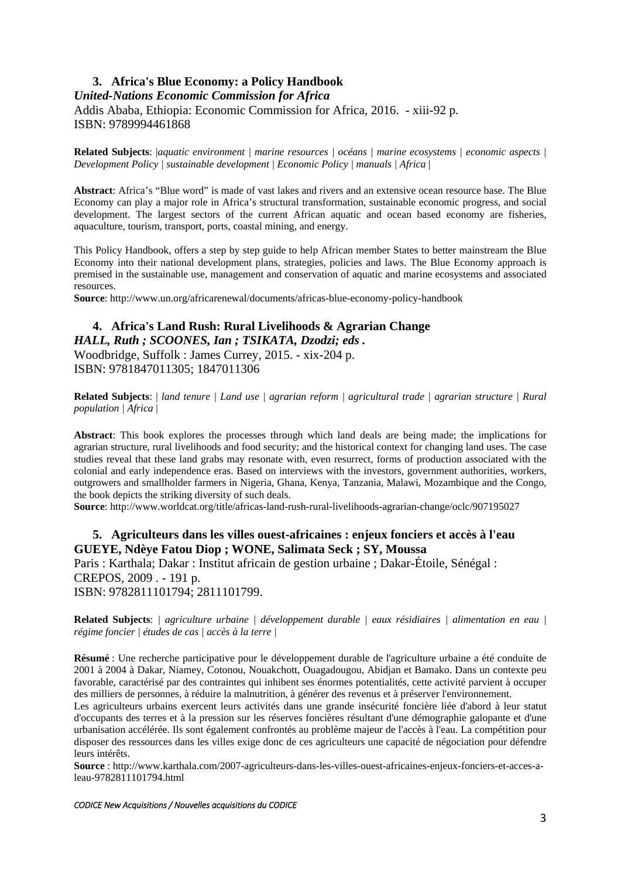# **3. Africa's Blue Economy: a Policy Handbook**

# *United-Nations Economic Commission for Africa*  Addis Ababa, Ethiopia: Economic Commission for Africa, 2016. - xiii-92 p. ISBN: 9789994461868

**Related Subjects**: |*aquatic environment | marine resources | océans | marine ecosystems | economic aspects | Development Policy | sustainable development | Economic Policy | manuals | Africa* |

**Abstract**: Africa's "Blue word" is made of vast lakes and rivers and an extensive ocean resource base. The Blue Economy can play a major role in Africa's structural transformation, sustainable economic progress, and social development. The largest sectors of the current African aquatic and ocean based economy are fisheries, aquaculture, tourism, transport, ports, coastal mining, and energy.

This Policy Handbook, offers a step by step guide to help African member States to better mainstream the Blue Economy into their national development plans, strategies, policies and laws. The Blue Economy approach is premised in the sustainable use, management and conservation of aquatic and marine ecosystems and associated resources.

**Source**: http://www.un.org/africarenewal/documents/africas-blue-economy-policy-handbook

# **4. Africa's Land Rush: Rural Livelihoods & Agrarian Change**  *HALL, Ruth ; SCOONES, Ian ; TSIKATA, Dzodzi; eds .*

Woodbridge, Suffolk : James Currey, 2015. - xix-204 p. ISBN: 9781847011305; 1847011306

**Related Subjects**: | *land tenure | Land use | agrarian reform | agricultural trade | agrarian structure | Rural population | Africa* |

**Abstract**: This book explores the processes through which land deals are being made; the implications for agrarian structure, rural livelihoods and food security; and the historical context for changing land uses. The case studies reveal that these land grabs may resonate with, even resurrect, forms of production associated with the colonial and early independence eras. Based on interviews with the investors, government authorities, workers, outgrowers and smallholder farmers in Nigeria, Ghana, Kenya, Tanzania, Malawi, Mozambique and the Congo, the book depicts the striking diversity of such deals.

**Source**: http://www.worldcat.org/title/africas-land-rush-rural-livelihoods-agrarian-change/oclc/907195027

## **5. Agriculteurs dans les villes ouest-africaines : enjeux fonciers et accès à l'eau GUEYE, Ndèye Fatou Diop ; WONE, Salimata Seck ; SY, Moussa**

Paris : Karthala; Dakar : Institut africain de gestion urbaine ; Dakar-Étoile, Sénégal : CREPOS, 2009 . - 191 p. ISBN: 9782811101794; 2811101799.

**Related Subjects**: *| agriculture urbaine | développement durable | eaux résidiaires | alimentation en eau | régime foncier | études de cas | accès à la terre |* 

**Résumé** : Une recherche participative pour le développement durable de l'agriculture urbaine a été conduite de 2001 à 2004 à Dakar, Niamey, Cotonou, Nouakchott, Ouagadougou, Abidjan et Bamako. Dans un contexte peu favorable, caractérisé par des contraintes qui inhibent ses énormes potentialités, cette activité parvient à occuper des milliers de personnes, à réduire la malnutrition, à générer des revenus et à préserver l'environnement.

Les agriculteurs urbains exercent leurs activités dans une grande insécurité foncière liée d'abord à leur statut d'occupants des terres et à la pression sur les réserves foncières résultant d'une démographie galopante et d'une urbanisation accélérée. Ils sont également confrontés au problème majeur de l'accès à l'eau. La compétition pour disposer des ressources dans les villes exige donc de ces agriculteurs une capacité de négociation pour défendre leurs intérêts.

**Source** : http://www.karthala.com/2007-agriculteurs-dans-les-villes-ouest-africaines-enjeux-fonciers-et-acces-aleau-9782811101794.html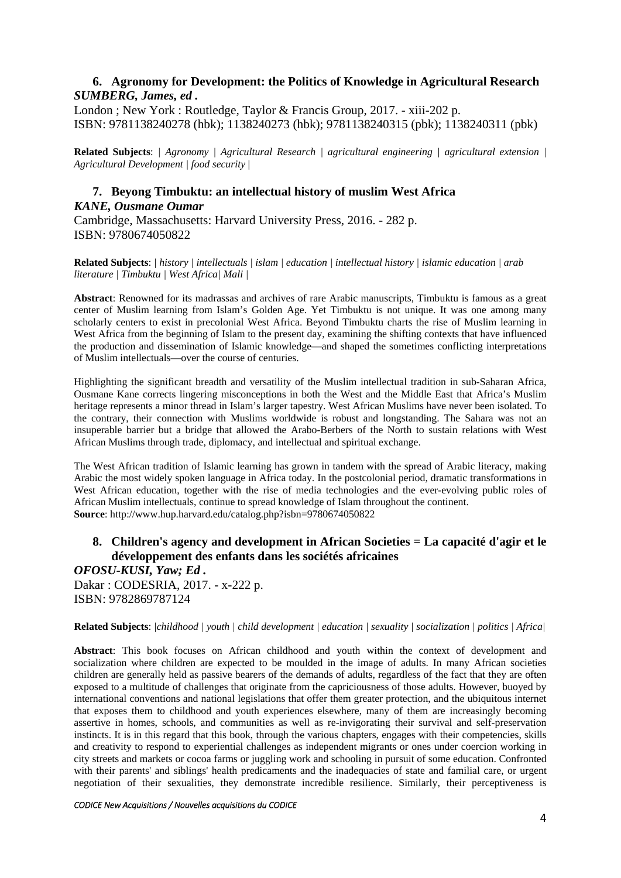# **6. Agronomy for Development: the Politics of Knowledge in Agricultural Research**  *SUMBERG, James, ed .*

London ; New York : Routledge, Taylor & Francis Group, 2017. - xiii-202 p. ISBN: 9781138240278 (hbk); 1138240273 (hbk); 9781138240315 (pbk); 1138240311 (pbk)

**Related Subjects**: *| Agronomy | Agricultural Research | agricultural engineering | agricultural extension | Agricultural Development | food security* |

# **7. Beyong Timbuktu: an intellectual history of muslim West Africa**  *KANE, Ousmane Oumar*

Cambridge, Massachusetts: Harvard University Press, 2016. - 282 p. ISBN: 9780674050822

**Related Subjects**: *| history | intellectuals | islam | education | intellectual history | islamic education | arab literature | Timbuktu | West Africa| Mali |*

**Abstract**: Renowned for its madrassas and archives of rare Arabic manuscripts, Timbuktu is famous as a great center of Muslim learning from Islam's Golden Age. Yet Timbuktu is not unique. It was one among many scholarly centers to exist in precolonial West Africa. Beyond Timbuktu charts the rise of Muslim learning in West Africa from the beginning of Islam to the present day, examining the shifting contexts that have influenced the production and dissemination of Islamic knowledge—and shaped the sometimes conflicting interpretations of Muslim intellectuals—over the course of centuries.

Highlighting the significant breadth and versatility of the Muslim intellectual tradition in sub-Saharan Africa, Ousmane Kane corrects lingering misconceptions in both the West and the Middle East that Africa's Muslim heritage represents a minor thread in Islam's larger tapestry. West African Muslims have never been isolated. To the contrary, their connection with Muslims worldwide is robust and longstanding. The Sahara was not an insuperable barrier but a bridge that allowed the Arabo-Berbers of the North to sustain relations with West African Muslims through trade, diplomacy, and intellectual and spiritual exchange.

The West African tradition of Islamic learning has grown in tandem with the spread of Arabic literacy, making Arabic the most widely spoken language in Africa today. In the postcolonial period, dramatic transformations in West African education, together with the rise of media technologies and the ever-evolving public roles of African Muslim intellectuals, continue to spread knowledge of Islam throughout the continent. **Source**: http://www.hup.harvard.edu/catalog.php?isbn=9780674050822

## **8. Children's agency and development in African Societies = La capacité d'agir et le développement des enfants dans les sociétés africaines**

*OFOSU-KUSI, Yaw; Ed .* 

Dakar : CODESRIA, 2017. - x-222 p. ISBN: 9782869787124

### **Related Subjects**: *|childhood | youth | child development | education | sexuality | socialization | politics | Africa|*

**Abstract**: This book focuses on African childhood and youth within the context of development and socialization where children are expected to be moulded in the image of adults. In many African societies children are generally held as passive bearers of the demands of adults, regardless of the fact that they are often exposed to a multitude of challenges that originate from the capriciousness of those adults. However, buoyed by international conventions and national legislations that offer them greater protection, and the ubiquitous internet that exposes them to childhood and youth experiences elsewhere, many of them are increasingly becoming assertive in homes, schools, and communities as well as re-invigorating their survival and self-preservation instincts. It is in this regard that this book, through the various chapters, engages with their competencies, skills and creativity to respond to experiential challenges as independent migrants or ones under coercion working in city streets and markets or cocoa farms or juggling work and schooling in pursuit of some education. Confronted with their parents' and siblings' health predicaments and the inadequacies of state and familial care, or urgent negotiation of their sexualities, they demonstrate incredible resilience. Similarly, their perceptiveness is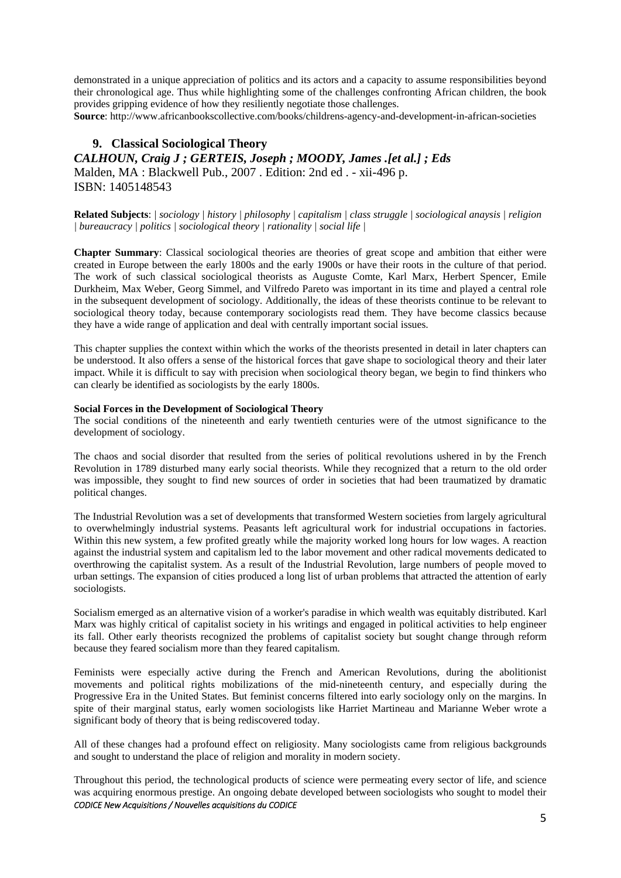demonstrated in a unique appreciation of politics and its actors and a capacity to assume responsibilities beyond their chronological age. Thus while highlighting some of the challenges confronting African children, the book provides gripping evidence of how they resiliently negotiate those challenges.

**Source**: http://www.africanbookscollective.com/books/childrens-agency-and-development-in-african-societies

### **9. Classical Sociological Theory**

*CALHOUN, Craig J ; GERTEIS, Joseph ; MOODY, James .[et al.] ; Eds*  Malden, MA : Blackwell Pub., 2007 . Edition: 2nd ed . - xii-496 p. ISBN: 1405148543

**Related Subjects**: *| sociology | history | philosophy | capitalism | class struggle | sociological anaysis | religion | bureaucracy | politics | sociological theory | rationality | social life |* 

**Chapter Summary**: Classical sociological theories are theories of great scope and ambition that either were created in Europe between the early 1800s and the early 1900s or have their roots in the culture of that period. The work of such classical sociological theorists as Auguste Comte, Karl Marx, Herbert Spencer, Emile Durkheim, Max Weber, Georg Simmel, and Vilfredo Pareto was important in its time and played a central role in the subsequent development of sociology. Additionally, the ideas of these theorists continue to be relevant to sociological theory today, because contemporary sociologists read them. They have become classics because they have a wide range of application and deal with centrally important social issues.

This chapter supplies the context within which the works of the theorists presented in detail in later chapters can be understood. It also offers a sense of the historical forces that gave shape to sociological theory and their later impact. While it is difficult to say with precision when sociological theory began, we begin to find thinkers who can clearly be identified as sociologists by the early 1800s.

#### **Social Forces in the Development of Sociological Theory**

The social conditions of the nineteenth and early twentieth centuries were of the utmost significance to the development of sociology.

The chaos and social disorder that resulted from the series of political revolutions ushered in by the French Revolution in 1789 disturbed many early social theorists. While they recognized that a return to the old order was impossible, they sought to find new sources of order in societies that had been traumatized by dramatic political changes.

The Industrial Revolution was a set of developments that transformed Western societies from largely agricultural to overwhelmingly industrial systems. Peasants left agricultural work for industrial occupations in factories. Within this new system, a few profited greatly while the majority worked long hours for low wages. A reaction against the industrial system and capitalism led to the labor movement and other radical movements dedicated to overthrowing the capitalist system. As a result of the Industrial Revolution, large numbers of people moved to urban settings. The expansion of cities produced a long list of urban problems that attracted the attention of early sociologists.

Socialism emerged as an alternative vision of a worker's paradise in which wealth was equitably distributed. Karl Marx was highly critical of capitalist society in his writings and engaged in political activities to help engineer its fall. Other early theorists recognized the problems of capitalist society but sought change through reform because they feared socialism more than they feared capitalism.

Feminists were especially active during the French and American Revolutions, during the abolitionist movements and political rights mobilizations of the mid-nineteenth century, and especially during the Progressive Era in the United States. But feminist concerns filtered into early sociology only on the margins. In spite of their marginal status, early women sociologists like Harriet Martineau and Marianne Weber wrote a significant body of theory that is being rediscovered today.

All of these changes had a profound effect on religiosity. Many sociologists came from religious backgrounds and sought to understand the place of religion and morality in modern society.

*CODICE New Acquisitions / Nouvelles acquisitions du CODICE* Throughout this period, the technological products of science were permeating every sector of life, and science was acquiring enormous prestige. An ongoing debate developed between sociologists who sought to model their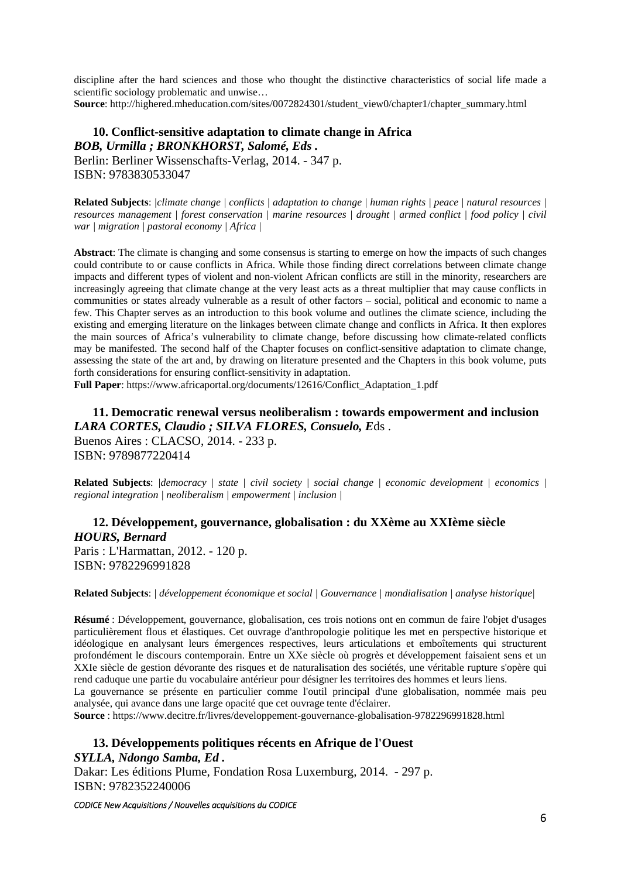discipline after the hard sciences and those who thought the distinctive characteristics of social life made a scientific sociology problematic and unwise… **Source**: http://highered.mheducation.com/sites/0072824301/student\_view0/chapter1/chapter\_summary.html

# **10. Conflict-sensitive adaptation to climate change in Africa**  *BOB, Urmilla ; BRONKHORST, Salomé, Eds .*

Berlin: Berliner Wissenschafts-Verlag, 2014. - 347 p. ISBN: 9783830533047

**Related Subjects**: *|climate change | conflicts | adaptation to change | human rights | peace | natural resources | resources management | forest conservation | marine resources | drought | armed conflict | food policy | civil war | migration | pastoral economy | Africa |*

**Abstract**: The climate is changing and some consensus is starting to emerge on how the impacts of such changes could contribute to or cause conflicts in Africa. While those finding direct correlations between climate change impacts and different types of violent and non-violent African conflicts are still in the minority, researchers are increasingly agreeing that climate change at the very least acts as a threat multiplier that may cause conflicts in communities or states already vulnerable as a result of other factors – social, political and economic to name a few. This Chapter serves as an introduction to this book volume and outlines the climate science, including the existing and emerging literature on the linkages between climate change and conflicts in Africa. It then explores the main sources of Africa's vulnerability to climate change, before discussing how climate-related conflicts may be manifested. The second half of the Chapter focuses on conflict-sensitive adaptation to climate change, assessing the state of the art and, by drawing on literature presented and the Chapters in this book volume, puts forth considerations for ensuring conflict-sensitivity in adaptation.

**Full Paper**: https://www.africaportal.org/documents/12616/Conflict\_Adaptation\_1.pdf

**11. Democratic renewal versus neoliberalism : towards empowerment and inclusion**  *LARA CORTES, Claudio ; SILVA FLORES, Consuelo, E*ds . Buenos Aires : CLACSO, 2014. - 233 p. ISBN: 9789877220414

**Related Subjects**: *|democracy | state | civil society | social change | economic development | economics | regional integration | neoliberalism | empowerment | inclusion |*

## **12. Développement, gouvernance, globalisation : du XXème au XXIème siècle**  *HOURS, Bernard*  Paris : L'Harmattan, 2012. - 120 p.

ISBN: 9782296991828

#### **Related Subjects**: *| développement économique et social | Gouvernance | mondialisation | analyse historique|*

**Résumé** : Développement, gouvernance, globalisation, ces trois notions ont en commun de faire l'objet d'usages particulièrement flous et élastiques. Cet ouvrage d'anthropologie politique les met en perspective historique et idéologique en analysant leurs émergences respectives, leurs articulations et emboîtements qui structurent profondément le discours contemporain. Entre un XXe siècle où progrès et développement faisaient sens et un XXIe siècle de gestion dévorante des risques et de naturalisation des sociétés, une véritable rupture s'opère qui rend caduque une partie du vocabulaire antérieur pour désigner les territoires des hommes et leurs liens.

La gouvernance se présente en particulier comme l'outil principal d'une globalisation, nommée mais peu analysée, qui avance dans une large opacité que cet ouvrage tente d'éclairer.

**Source** : https://www.decitre.fr/livres/developpement-gouvernance-globalisation-9782296991828.html

## **13. Développements politiques récents en Afrique de l'Ouest**  *SYLLA, Ndongo Samba, Ed .*

Dakar: Les éditions Plume, Fondation Rosa Luxemburg, 2014. - 297 p. ISBN: 9782352240006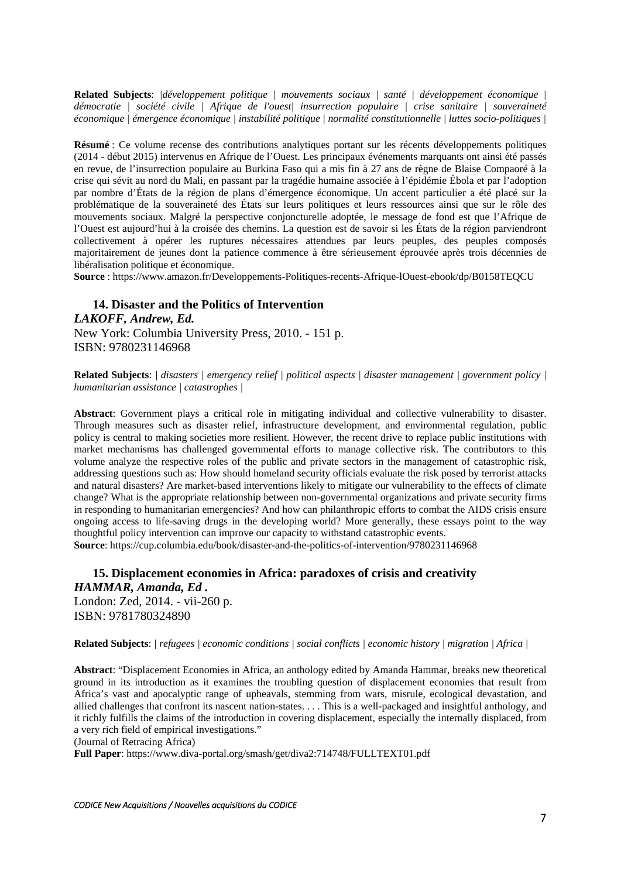**Related Subjects**: *|développement politique | mouvements sociaux | santé | développement économique | démocratie | société civile | Afrique de l'ouest| insurrection populaire | crise sanitaire | souveraineté économique | émergence économique | instabilité politique | normalité constitutionnelle | luttes socio-politiques |*

**Résumé** : Ce volume recense des contributions analytiques portant sur les récents développements politiques (2014 - début 2015) intervenus en Afrique de l'Ouest. Les principaux événements marquants ont ainsi été passés en revue, de l'insurrection populaire au Burkina Faso qui a mis fin à 27 ans de règne de Blaise Compaoré à la crise qui sévit au nord du Mali, en passant par la tragédie humaine associée à l'épidémie Ébola et par l'adoption par nombre d'États de la région de plans d'émergence économique. Un accent particulier a été placé sur la problématique de la souveraineté des États sur leurs politiques et leurs ressources ainsi que sur le rôle des mouvements sociaux. Malgré la perspective conjoncturelle adoptée, le message de fond est que l'Afrique de l'Ouest est aujourd'hui à la croisée des chemins. La question est de savoir si les États de la région parviendront collectivement à opérer les ruptures nécessaires attendues par leurs peuples, des peuples composés majoritairement de jeunes dont la patience commence à être sérieusement éprouvée après trois décennies de libéralisation politique et économique.

**Source** : https://www.amazon.fr/Developpements-Politiques-recents-Afrique-lOuest-ebook/dp/B0158TEQCU

**14. Disaster and the Politics of Intervention**  *LAKOFF, Andrew, Ed.*  New York: Columbia University Press, 2010. - 151 p. ISBN: 9780231146968

**Related Subjects**: *| disasters | emergency relief | political aspects | disaster management | government policy | humanitarian assistance | catastrophes |*

**Abstract**: Government plays a critical role in mitigating individual and collective vulnerability to disaster. Through measures such as disaster relief, infrastructure development, and environmental regulation, public policy is central to making societies more resilient. However, the recent drive to replace public institutions with market mechanisms has challenged governmental efforts to manage collective risk. The contributors to this volume analyze the respective roles of the public and private sectors in the management of catastrophic risk, addressing questions such as: How should homeland security officials evaluate the risk posed by terrorist attacks and natural disasters? Are market-based interventions likely to mitigate our vulnerability to the effects of climate change? What is the appropriate relationship between non-governmental organizations and private security firms in responding to humanitarian emergencies? And how can philanthropic efforts to combat the AIDS crisis ensure ongoing access to life-saving drugs in the developing world? More generally, these essays point to the way thoughtful policy intervention can improve our capacity to withstand catastrophic events. **Source**: https://cup.columbia.edu/book/disaster-and-the-politics-of-intervention/9780231146968

**15. Displacement economies in Africa: paradoxes of crisis and creativity**  *HAMMAR, Amanda, Ed .*  London: Zed, 2014. - vii-260 p. ISBN: 9781780324890

#### **Related Subjects**: *| refugees | economic conditions | social conflicts | economic history | migration | Africa |*

**Abstract**: "Displacement Economies in Africa, an anthology edited by Amanda Hammar, breaks new theoretical ground in its introduction as it examines the troubling question of displacement economies that result from Africa's vast and apocalyptic range of upheavals, stemming from wars, misrule, ecological devastation, and allied challenges that confront its nascent nation-states. . . . This is a well-packaged and insightful anthology, and it richly fulfills the claims of the introduction in covering displacement, especially the internally displaced, from a very rich field of empirical investigations."

(Journal of Retracing Africa)

**Full Paper**: https://www.diva-portal.org/smash/get/diva2:714748/FULLTEXT01.pdf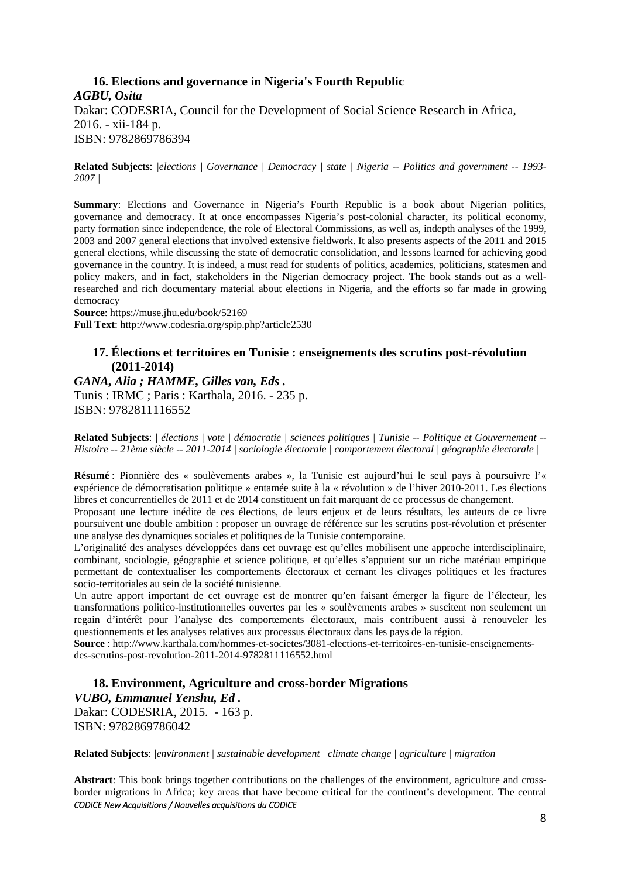# **16. Elections and governance in Nigeria's Fourth Republic**  *AGBU, Osita*  Dakar: CODESRIA, Council for the Development of Social Science Research in Africa, 2016. - xii-184 p. ISBN: 9782869786394

**Related Subjects**: *|elections | Governance | Democracy | state | Nigeria -- Politics and government -- 1993- 2007 |* 

**Summary**: Elections and Governance in Nigeria's Fourth Republic is a book about Nigerian politics, governance and democracy. It at once encompasses Nigeria's post-colonial character, its political economy, party formation since independence, the role of Electoral Commissions, as well as, indepth analyses of the 1999, 2003 and 2007 general elections that involved extensive fieldwork. It also presents aspects of the 2011 and 2015 general elections, while discussing the state of democratic consolidation, and lessons learned for achieving good governance in the country. It is indeed, a must read for students of politics, academics, politicians, statesmen and policy makers, and in fact, stakeholders in the Nigerian democracy project. The book stands out as a wellresearched and rich documentary material about elections in Nigeria, and the efforts so far made in growing democracy

**Source**: https://muse.jhu.edu/book/52169 **Full Text**: http://www.codesria.org/spip.php?article2530

### **17. Élections et territoires en Tunisie : enseignements des scrutins post-révolution (2011-2014)**

*GANA, Alia ; HAMME, Gilles van, Eds .*  Tunis : IRMC ; Paris : Karthala, 2016. - 235 p. ISBN: 9782811116552

**Related Subjects**: *| élections | vote | démocratie | sciences politiques | Tunisie -- Politique et Gouvernement -- Histoire -- 21ème siècle -- 2011-2014 | sociologie électorale | comportement électoral | géographie électorale |*

**Résumé** : Pionnière des « soulèvements arabes », la Tunisie est aujourd'hui le seul pays à poursuivre l'« expérience de démocratisation politique » entamée suite à la « révolution » de l'hiver 2010-2011. Les élections libres et concurrentielles de 2011 et de 2014 constituent un fait marquant de ce processus de changement.

Proposant une lecture inédite de ces élections, de leurs enjeux et de leurs résultats, les auteurs de ce livre poursuivent une double ambition : proposer un ouvrage de référence sur les scrutins post-révolution et présenter une analyse des dynamiques sociales et politiques de la Tunisie contemporaine.

L'originalité des analyses développées dans cet ouvrage est qu'elles mobilisent une approche interdisciplinaire, combinant, sociologie, géographie et science politique, et qu'elles s'appuient sur un riche matériau empirique permettant de contextualiser les comportements électoraux et cernant les clivages politiques et les fractures socio-territoriales au sein de la société tunisienne.

Un autre apport important de cet ouvrage est de montrer qu'en faisant émerger la figure de l'électeur, les transformations politico-institutionnelles ouvertes par les « soulèvements arabes » suscitent non seulement un regain d'intérêt pour l'analyse des comportements électoraux, mais contribuent aussi à renouveler les questionnements et les analyses relatives aux processus électoraux dans les pays de la région.

**Source** : http://www.karthala.com/hommes-et-societes/3081-elections-et-territoires-en-tunisie-enseignementsdes-scrutins-post-revolution-2011-2014-9782811116552.html

**18. Environment, Agriculture and cross-border Migrations**  *VUBO, Emmanuel Yenshu, Ed .*  Dakar: CODESRIA, 2015. - 163 p. ISBN: 9782869786042

**Related Subjects**: *|environment | sustainable development | climate change | agriculture | migration*

*CODICE New Acquisitions / Nouvelles acquisitions du CODICE* **Abstract**: This book brings together contributions on the challenges of the environment, agriculture and crossborder migrations in Africa; key areas that have become critical for the continent's development. The central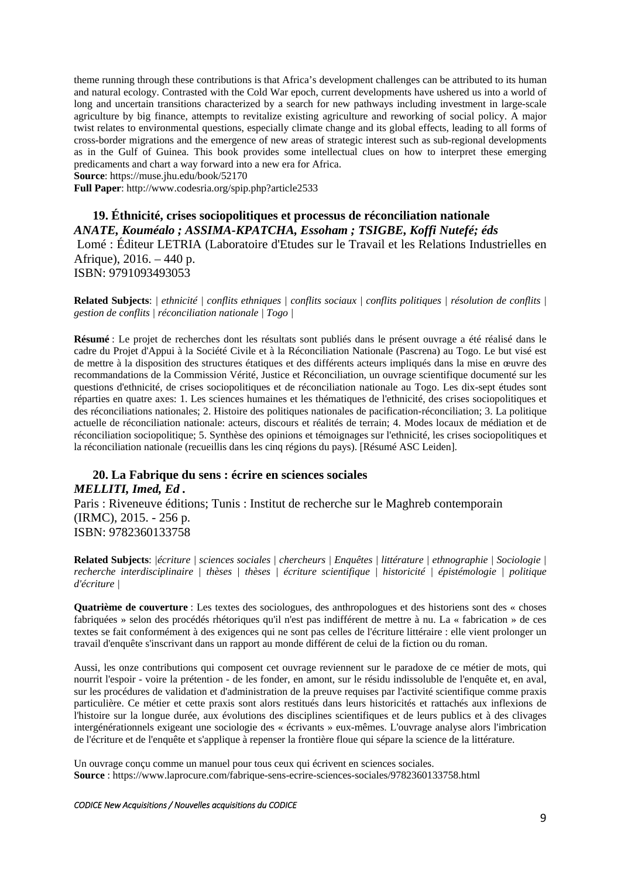theme running through these contributions is that Africa's development challenges can be attributed to its human and natural ecology. Contrasted with the Cold War epoch, current developments have ushered us into a world of long and uncertain transitions characterized by a search for new pathways including investment in large-scale agriculture by big finance, attempts to revitalize existing agriculture and reworking of social policy. A major twist relates to environmental questions, especially climate change and its global effects, leading to all forms of cross-border migrations and the emergence of new areas of strategic interest such as sub-regional developments as in the Gulf of Guinea. This book provides some intellectual clues on how to interpret these emerging predicaments and chart a way forward into a new era for Africa.

**Source**: https://muse.jhu.edu/book/52170

**Full Paper**: http://www.codesria.org/spip.php?article2533

**19. Éthnicité, crises sociopolitiques et processus de réconciliation nationale**  *ANATE, Kouméalo ; ASSIMA-KPATCHA, Essoham ; TSIGBE, Koffi Nutefé; éds* Lomé : Éditeur LETRIA (Laboratoire d'Etudes sur le Travail et les Relations Industrielles en Afrique), 2016. – 440 p. ISBN: 9791093493053

**Related Subjects**: *| ethnicité | conflits ethniques | conflits sociaux | conflits politiques | résolution de conflits | gestion de conflits | réconciliation nationale | Togo |* 

**Résumé** : Le projet de recherches dont les résultats sont publiés dans le présent ouvrage a été réalisé dans le cadre du Projet d'Appui à la Société Civile et à la Réconciliation Nationale (Pascrena) au Togo. Le but visé est de mettre à la disposition des structures étatiques et des différents acteurs impliqués dans la mise en œuvre des recommandations de la Commission Vérité, Justice et Réconciliation, un ouvrage scientifique documenté sur les questions d'ethnicité, de crises sociopolitiques et de réconciliation nationale au Togo. Les dix-sept études sont réparties en quatre axes: 1. Les sciences humaines et les thématiques de l'ethnicité, des crises sociopolitiques et des réconciliations nationales; 2. Histoire des politiques nationales de pacification-réconciliation; 3. La politique actuelle de réconciliation nationale: acteurs, discours et réalités de terrain; 4. Modes locaux de médiation et de réconciliation sociopolitique; 5. Synthèse des opinions et témoignages sur l'ethnicité, les crises sociopolitiques et la réconciliation nationale (recueillis dans les cinq régions du pays). [Résumé ASC Leiden].

**20. La Fabrique du sens : écrire en sciences sociales**  *MELLITI, Imed, Ed .*  Paris : Riveneuve éditions; Tunis : Institut de recherche sur le Maghreb contemporain (IRMC), 2015. - 256 p. ISBN: 9782360133758

**Related Subjects**: *|écriture | sciences sociales | chercheurs | Enquêtes | littérature | ethnographie | Sociologie | recherche interdisciplinaire | thèses | thèses | écriture scientifique | historicité | épistémologie | politique d'écriture |* 

**Quatrième de couverture** : Les textes des sociologues, des anthropologues et des historiens sont des « choses fabriquées » selon des procédés rhétoriques qu'il n'est pas indifférent de mettre à nu. La « fabrication » de ces textes se fait conformément à des exigences qui ne sont pas celles de l'écriture littéraire : elle vient prolonger un travail d'enquête s'inscrivant dans un rapport au monde différent de celui de la fiction ou du roman.

Aussi, les onze contributions qui composent cet ouvrage reviennent sur le paradoxe de ce métier de mots, qui nourrit l'espoir - voire la prétention - de les fonder, en amont, sur le résidu indissoluble de l'enquête et, en aval, sur les procédures de validation et d'administration de la preuve requises par l'activité scientifique comme praxis particulière. Ce métier et cette praxis sont alors restitués dans leurs historicités et rattachés aux inflexions de l'histoire sur la longue durée, aux évolutions des disciplines scientifiques et de leurs publics et à des clivages intergénérationnels exigeant une sociologie des « écrivants » eux-mêmes. L'ouvrage analyse alors l'imbrication de l'écriture et de l'enquête et s'applique à repenser la frontière floue qui sépare la science de la littérature.

Un ouvrage conçu comme un manuel pour tous ceux qui écrivent en sciences sociales. **Source** : https://www.laprocure.com/fabrique-sens-ecrire-sciences-sociales/9782360133758.html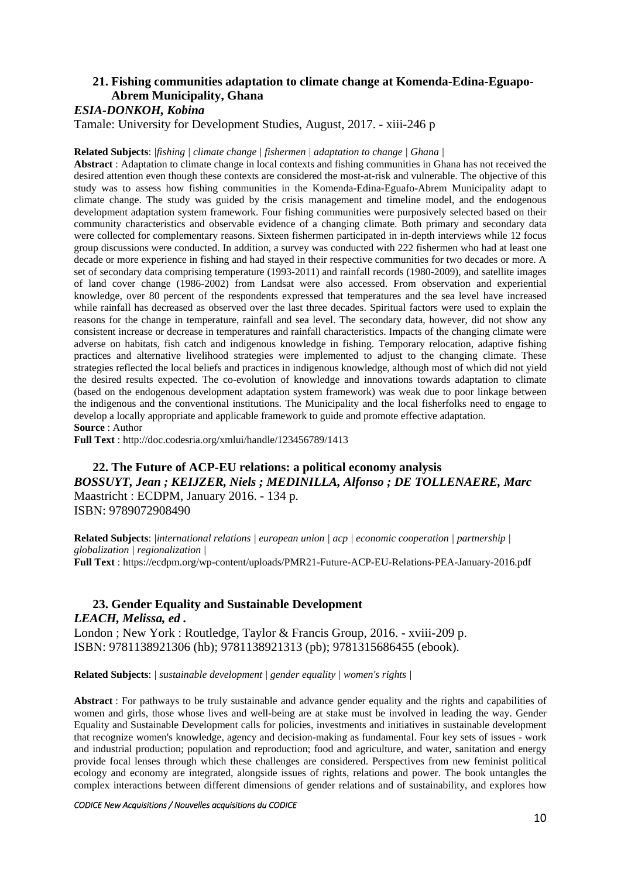# **21. Fishing communities adaptation to climate change at Komenda-Edina-Eguapo-Abrem Municipality, Ghana**

# *ESIA-DONKOH, Kobina*

Tamale: University for Development Studies, August, 2017. - xiii-246 p

#### **Related Subjects**: *|fishing | climate change | fishermen | adaptation to change | Ghana |*

**Abstract** : Adaptation to climate change in local contexts and fishing communities in Ghana has not received the desired attention even though these contexts are considered the most-at-risk and vulnerable. The objective of this study was to assess how fishing communities in the Komenda-Edina-Eguafo-Abrem Municipality adapt to climate change. The study was guided by the crisis management and timeline model, and the endogenous development adaptation system framework. Four fishing communities were purposively selected based on their community characteristics and observable evidence of a changing climate. Both primary and secondary data were collected for complementary reasons. Sixteen fishermen participated in in-depth interviews while 12 focus group discussions were conducted. In addition, a survey was conducted with 222 fishermen who had at least one decade or more experience in fishing and had stayed in their respective communities for two decades or more. A set of secondary data comprising temperature (1993-2011) and rainfall records (1980-2009), and satellite images of land cover change (1986-2002) from Landsat were also accessed. From observation and experiential knowledge, over 80 percent of the respondents expressed that temperatures and the sea level have increased while rainfall has decreased as observed over the last three decades. Spiritual factors were used to explain the reasons for the change in temperature, rainfall and sea level. The secondary data, however, did not show any consistent increase or decrease in temperatures and rainfall characteristics. Impacts of the changing climate were adverse on habitats, fish catch and indigenous knowledge in fishing. Temporary relocation, adaptive fishing practices and alternative livelihood strategies were implemented to adjust to the changing climate. These strategies reflected the local beliefs and practices in indigenous knowledge, although most of which did not yield the desired results expected. The co-evolution of knowledge and innovations towards adaptation to climate (based on the endogenous development adaptation system framework) was weak due to poor linkage between the indigenous and the conventional institutions. The Municipality and the local fisherfolks need to engage to develop a locally appropriate and applicable framework to guide and promote effective adaptation. **Source** : Author

**Full Text** : http://doc.codesria.org/xmlui/handle/123456789/1413

**22. The Future of ACP-EU relations: a political economy analysis**  *BOSSUYT, Jean ; KEIJZER, Niels ; MEDINILLA, Alfonso ; DE TOLLENAERE, Marc*  Maastricht : ECDPM, January 2016. - 134 p. ISBN: 9789072908490

**Related Subjects**: *|international relations | european union | acp | economic cooperation | partnership | globalization | regionalization |*  **Full Text** : https://ecdpm.org/wp-content/uploads/PMR21-Future-ACP-EU-Relations-PEA-January-2016.pdf

## **23. Gender Equality and Sustainable Development**  *LEACH, Melissa, ed .*

London ; New York : Routledge, Taylor & Francis Group, 2016. - xviii-209 p. ISBN: 9781138921306 (hb); 9781138921313 (pb); 9781315686455 (ebook).

**Related Subjects**: *| sustainable development | gender equality | women's rights |* 

**Abstract** : For pathways to be truly sustainable and advance gender equality and the rights and capabilities of women and girls, those whose lives and well-being are at stake must be involved in leading the way. Gender Equality and Sustainable Development calls for policies, investments and initiatives in sustainable development that recognize women's knowledge, agency and decision-making as fundamental. Four key sets of issues - work and industrial production; population and reproduction; food and agriculture, and water, sanitation and energy provide focal lenses through which these challenges are considered. Perspectives from new feminist political ecology and economy are integrated, alongside issues of rights, relations and power. The book untangles the complex interactions between different dimensions of gender relations and of sustainability, and explores how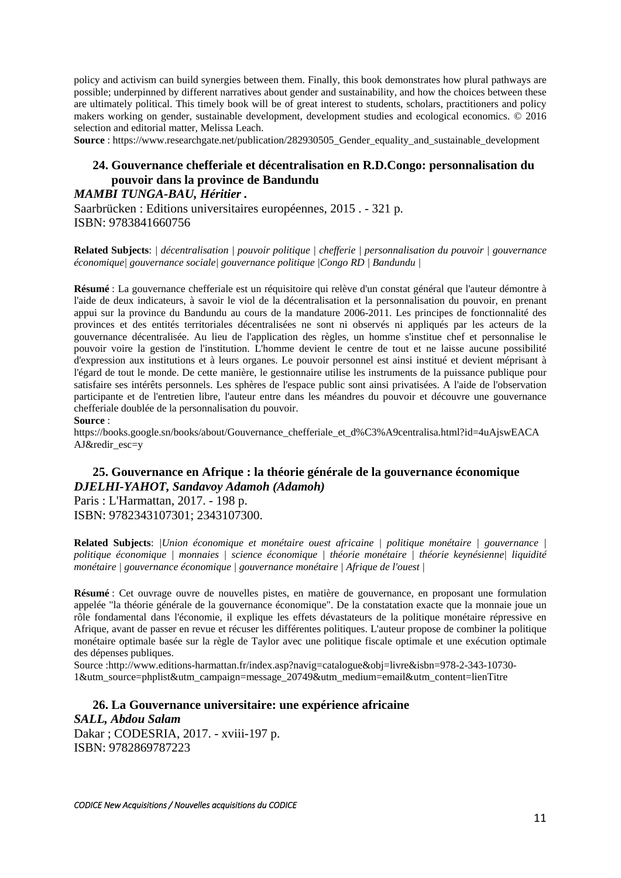policy and activism can build synergies between them. Finally, this book demonstrates how plural pathways are possible; underpinned by different narratives about gender and sustainability, and how the choices between these are ultimately political. This timely book will be of great interest to students, scholars, practitioners and policy makers working on gender, sustainable development, development studies and ecological economics. © 2016 selection and editorial matter, Melissa Leach.

**Source**: https://www.researchgate.net/publication/282930505 Gender equality and sustainable development

# **24. Gouvernance chefferiale et décentralisation en R.D.Congo: personnalisation du pouvoir dans la province de Bandundu**

## *MAMBI TUNGA-BAU, Héritier .*

Saarbrücken : Editions universitaires européennes, 2015 . - 321 p. ISBN: 9783841660756

**Related Subjects**: *| décentralisation | pouvoir politique | chefferie | personnalisation du pouvoir | gouvernance économique| gouvernance sociale| gouvernance politique |Congo RD | Bandundu |* 

**Résumé** : La gouvernance chefferiale est un réquisitoire qui relève d'un constat général que l'auteur démontre à l'aide de deux indicateurs, à savoir le viol de la décentralisation et la personnalisation du pouvoir, en prenant appui sur la province du Bandundu au cours de la mandature 2006-2011. Les principes de fonctionnalité des provinces et des entités territoriales décentralisées ne sont ni observés ni appliqués par les acteurs de la gouvernance décentralisée. Au lieu de l'application des règles, un homme s'institue chef et personnalise le pouvoir voire la gestion de l'institution. L'homme devient le centre de tout et ne laisse aucune possibilité d'expression aux institutions et à leurs organes. Le pouvoir personnel est ainsi institué et devient méprisant à l'égard de tout le monde. De cette manière, le gestionnaire utilise les instruments de la puissance publique pour satisfaire ses intérêts personnels. Les sphères de l'espace public sont ainsi privatisées. A l'aide de l'observation participante et de l'entretien libre, l'auteur entre dans les méandres du pouvoir et découvre une gouvernance chefferiale doublée de la personnalisation du pouvoir. **Source** :

https://books.google.sn/books/about/Gouvernance chefferiale et d%C3%A9centralisa.html?id=4uAjswEACA AJ&redir\_esc=y

# **25. Gouvernance en Afrique : la théorie générale de la gouvernance économique**  *DJELHI-YAHOT, Sandavoy Adamoh (Adamoh)*

Paris : L'Harmattan, 2017. - 198 p. ISBN: 9782343107301; 2343107300.

**Related Subjects**: *|Union économique et monétaire ouest africaine | politique monétaire | gouvernance | politique économique | monnaies | science économique | théorie monétaire | théorie keynésienne| liquidité monétaire | gouvernance économique | gouvernance monétaire | Afrique de l'ouest |*

**Résumé** : Cet ouvrage ouvre de nouvelles pistes, en matière de gouvernance, en proposant une formulation appelée "la théorie générale de la gouvernance économique". De la constatation exacte que la monnaie joue un rôle fondamental dans l'économie, il explique les effets dévastateurs de la politique monétaire répressive en Afrique, avant de passer en revue et récuser les différentes politiques. L'auteur propose de combiner la politique monétaire optimale basée sur la règle de Taylor avec une politique fiscale optimale et une exécution optimale des dépenses publiques.

Source :http://www.editions-harmattan.fr/index.asp?navig=catalogue&obj=livre&isbn=978-2-343-10730- 1&utm\_source=phplist&utm\_campaign=message\_20749&utm\_medium=email&utm\_content=lienTitre

# **26. La Gouvernance universitaire: une expérience africaine**  *SALL, Abdou Salam*  Dakar ; CODESRIA, 2017. - xviii-197 p.

ISBN: 9782869787223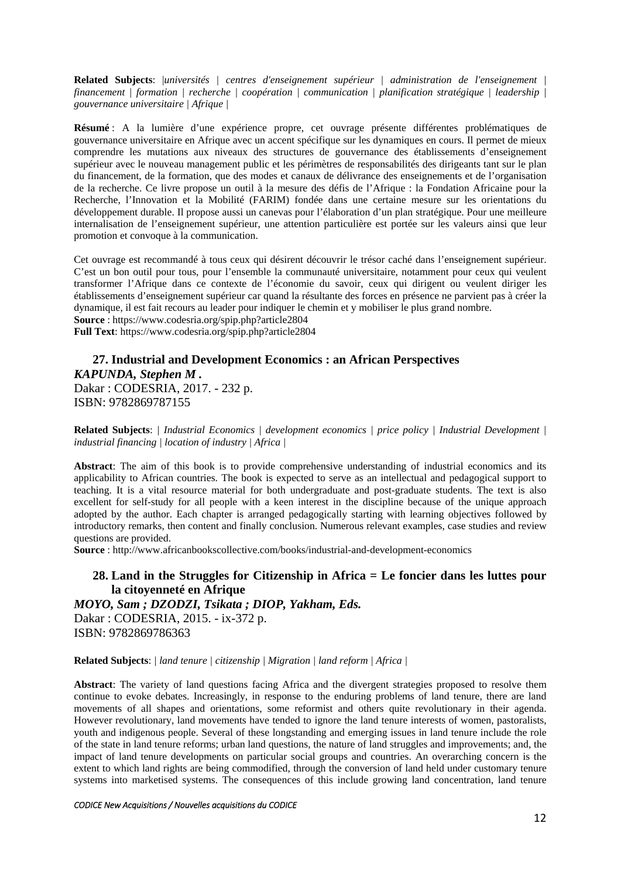**Related Subjects**: |*universités | centres d'enseignement supérieur | administration de l'enseignement | financement | formation | recherche | coopération | communication | planification stratégique | leadership | gouvernance universitaire | Afrique |* 

**Résumé** : A la lumière d'une expérience propre, cet ouvrage présente différentes problématiques de gouvernance universitaire en Afrique avec un accent spécifique sur les dynamiques en cours. Il permet de mieux comprendre les mutations aux niveaux des structures de gouvernance des établissements d'enseignement supérieur avec le nouveau management public et les périmètres de responsabilités des dirigeants tant sur le plan du financement, de la formation, que des modes et canaux de délivrance des enseignements et de l'organisation de la recherche. Ce livre propose un outil à la mesure des défis de l'Afrique : la Fondation Africaine pour la Recherche, l'Innovation et la Mobilité (FARIM) fondée dans une certaine mesure sur les orientations du développement durable. Il propose aussi un canevas pour l'élaboration d'un plan stratégique. Pour une meilleure internalisation de l'enseignement supérieur, une attention particulière est portée sur les valeurs ainsi que leur promotion et convoque à la communication.

Cet ouvrage est recommandé à tous ceux qui désirent découvrir le trésor caché dans l'enseignement supérieur. C'est un bon outil pour tous, pour l'ensemble la communauté universitaire, notamment pour ceux qui veulent transformer l'Afrique dans ce contexte de l'économie du savoir, ceux qui dirigent ou veulent diriger les établissements d'enseignement supérieur car quand la résultante des forces en présence ne parvient pas à créer la dynamique, il est fait recours au leader pour indiquer le chemin et y mobiliser le plus grand nombre. **Source** : https://www.codesria.org/spip.php?article2804

**Full Text**: https://www.codesria.org/spip.php?article2804

### **27. Industrial and Development Economics : an African Perspectives**  *KAPUNDA, Stephen M .*

Dakar : CODESRIA, 2017. - 232 p. ISBN: 9782869787155

**Related Subjects**: *| Industrial Economics | development economics | price policy | Industrial Development | industrial financing | location of industry | Africa |*

**Abstract**: The aim of this book is to provide comprehensive understanding of industrial economics and its applicability to African countries. The book is expected to serve as an intellectual and pedagogical support to teaching. It is a vital resource material for both undergraduate and post-graduate students. The text is also excellent for self-study for all people with a keen interest in the discipline because of the unique approach adopted by the author. Each chapter is arranged pedagogically starting with learning objectives followed by introductory remarks, then content and finally conclusion. Numerous relevant examples, case studies and review questions are provided.

**Source** : http://www.africanbookscollective.com/books/industrial-and-development-economics

## **28. Land in the Struggles for Citizenship in Africa = Le foncier dans les luttes pour la citoyenneté en Afrique**

*MOYO, Sam ; DZODZI, Tsikata ; DIOP, Yakham, Eds.* 

Dakar : CODESRIA, 2015. - ix-372 p. ISBN: 9782869786363

#### **Related Subjects**: *| land tenure | citizenship | Migration | land reform | Africa |*

**Abstract**: The variety of land questions facing Africa and the divergent strategies proposed to resolve them continue to evoke debates. Increasingly, in response to the enduring problems of land tenure, there are land movements of all shapes and orientations, some reformist and others quite revolutionary in their agenda. However revolutionary, land movements have tended to ignore the land tenure interests of women, pastoralists, youth and indigenous people. Several of these longstanding and emerging issues in land tenure include the role of the state in land tenure reforms; urban land questions, the nature of land struggles and improvements; and, the impact of land tenure developments on particular social groups and countries. An overarching concern is the extent to which land rights are being commodified, through the conversion of land held under customary tenure systems into marketised systems. The consequences of this include growing land concentration, land tenure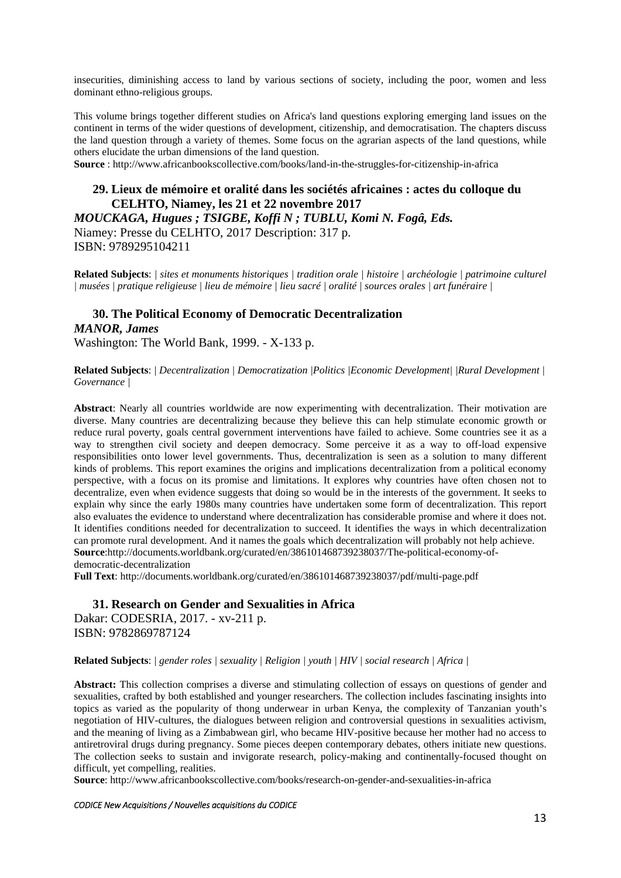insecurities, diminishing access to land by various sections of society, including the poor, women and less dominant ethno-religious groups.

This volume brings together different studies on Africa's land questions exploring emerging land issues on the continent in terms of the wider questions of development, citizenship, and democratisation. The chapters discuss the land question through a variety of themes. Some focus on the agrarian aspects of the land questions, while others elucidate the urban dimensions of the land question.

**Source** : http://www.africanbookscollective.com/books/land-in-the-struggles-for-citizenship-in-africa

## **29. Lieux de mémoire et oralité dans les sociétés africaines : actes du colloque du CELHTO, Niamey, les 21 et 22 novembre 2017**

*MOUCKAGA, Hugues ; TSIGBE, Koffi N ; TUBLU, Komi N. Fogâ, Eds.*  Niamey: Presse du CELHTO, 2017 Description: 317 p. ISBN: 9789295104211

**Related Subjects**: *| sites et monuments historiques | tradition orale | histoire | archéologie | patrimoine culturel | musées | pratique religieuse | lieu de mémoire | lieu sacré | oralité | sources orales | art funéraire |* 

## **30. The Political Economy of Democratic Decentralization**  *MANOR, James*  Washington: The World Bank, 1999. - X-133 p.

**Related Subjects**: *| Decentralization | Democratization |Politics |Economic Development| |Rural Development | Governance |* 

**Abstract**: Nearly all countries worldwide are now experimenting with decentralization. Their motivation are diverse. Many countries are decentralizing because they believe this can help stimulate economic growth or reduce rural poverty, goals central government interventions have failed to achieve. Some countries see it as a way to strengthen civil society and deepen democracy. Some perceive it as a way to off-load expensive responsibilities onto lower level governments. Thus, decentralization is seen as a solution to many different kinds of problems. This report examines the origins and implications decentralization from a political economy perspective, with a focus on its promise and limitations. It explores why countries have often chosen not to decentralize, even when evidence suggests that doing so would be in the interests of the government. It seeks to explain why since the early 1980s many countries have undertaken some form of decentralization. This report also evaluates the evidence to understand where decentralization has considerable promise and where it does not. It identifies conditions needed for decentralization to succeed. It identifies the ways in which decentralization can promote rural development. And it names the goals which decentralization will probably not help achieve. **Source**:http://documents.worldbank.org/curated/en/386101468739238037/The-political-economy-ofdemocratic-decentralization

**Full Text**: http://documents.worldbank.org/curated/en/386101468739238037/pdf/multi-page.pdf

**31. Research on Gender and Sexualities in Africa**  Dakar: CODESRIA, 2017. - xv-211 p. ISBN: 9782869787124

#### **Related Subjects**: *| gender roles | sexuality | Religion | youth | HIV | social research | Africa |*

**Abstract:** This collection comprises a diverse and stimulating collection of essays on questions of gender and sexualities, crafted by both established and younger researchers. The collection includes fascinating insights into topics as varied as the popularity of thong underwear in urban Kenya, the complexity of Tanzanian youth's negotiation of HIV-cultures, the dialogues between religion and controversial questions in sexualities activism, and the meaning of living as a Zimbabwean girl, who became HIV-positive because her mother had no access to antiretroviral drugs during pregnancy. Some pieces deepen contemporary debates, others initiate new questions. The collection seeks to sustain and invigorate research, policy-making and continentally-focused thought on difficult, yet compelling, realities.

**Source**: http://www.africanbookscollective.com/books/research-on-gender-and-sexualities-in-africa